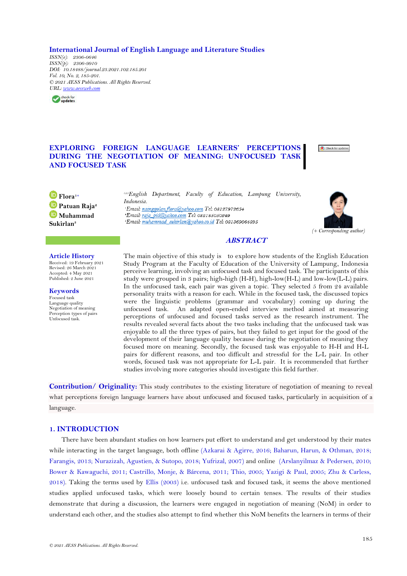**International Journal of English Language and Literature Studies**

*ISSN(e): 2306-0646 ISSN(p): 2306-9910 DOI: 10.18488/journal.23.2021.102.185.201 Vol. 10, No. 2, 185-201. © 2021 AESS Publications. All Rights Reserved. URL: [www.aessweb.com](http://www.aessweb.com/)*



# **EXPLORING FOREIGN LANGUAGE LEARNERS' PERCEPTIONS DURING THE NEGOTIATION OF MEANING: UNFOCUSED TASK AND FOCUSED TASK**

Check for updates

**Flora1+ Patuan Raja<sup>2</sup> Muhammad Sukirlan<sup>3</sup>**

*1,2,3English Department, Faculty of Education, Lampung University, Indonesia.* 'Email: nainggolan.flora@yahoo.com Tel: 08127972654 'Email raja pid@yahoo.com Tel: 082185050249 'Email: muhammad\_sukirlan@yahoo.co.id Tel: 081369064895



# **ABSTRACT**

#### **Article History**

Received: 19 February 2021 Revised: 26 March 2021 Accepted: 4 May 2021 Published: 2 June 2021

**Keywords**

Focused task Language quality Negotiation of meaning Perception types of pairs Unfocused task.

The main objective of this study is to explore how students of the English Education Study Program at the Faculty of Education of the University of Lampung, Indonesia perceive learning, involving an unfocused task and focused task. The participants of this study were grouped in 3 pairs; high-high (H-H), high-low(H-L) and low-low(L-L) pairs. In the unfocused task, each pair was given a topic. They selected 5 from 24 available personality traits with a reason for each. While in the focused task, the discussed topics were the linguistic problems (grammar and vocabulary) coming up during the unfocused task. An adapted open-ended interview method aimed at measuring perceptions of unfocused and focused tasks served as the research instrument. The results revealed several facts about the two tasks including that the unfocused task was enjoyable to all the three types of pairs, but they failed to get input for the good of the development of their language quality because during the negotiation of meaning they focused more on meaning. Secondly, the focused task was enjoyable to H-H and H-L pairs for different reasons, and too difficult and stressful for the L-L pair. In other words, focused task was not appropriate for L-L pair. It is recommended that further studies involving more categories should investigate this field further.

**Contribution/ Originality:** This study contributes to the existing literature of negotiation of meaning to reveal what perceptions foreign language learners have about unfocused and focused tasks, particularly in acquisition of a language.

## **1. INTRODUCTION**

There have been abundant studies on how learners put effort to understand and get understood by their mates while interacting in the target language, both offline (Azkarai & [Agirre, 2016;](#page-14-0) [Baharun, Harun, & Othman, 2018;](#page-14-1)  [Farangis, 2013;](#page-14-2) [Nurazizah, Agustien, & Sutopo, 2018;](#page-15-0) [Yufrizal, 2007\)](#page-15-1) and online [\(Arslanyilmaz & Pedersen, 2010;](#page-14-3)  [Bower & Kawaguchi, 2011;](#page-14-4) [Castrillo, Monje, & Bárcena, 2011;](#page-14-5) [Thio, 2005; Yazigi & Paul, 2005;](#page-15-1) [Zhu & Carless,](#page-16-0)  [2018\)](#page-16-0). Taking the terms used by Ellis [\(2003\)](#page-14-6) i.e. unfocused task and focused task, it seems the above mentioned studies applied unfocused tasks, which were loosely bound to certain tenses. The results of their studies demonstrate that during a discussion, the learners were engaged in negotiation of meaning (NoM) in order to understand each other, and the studies also attempt to find whether this NoM benefits the learners in terms of their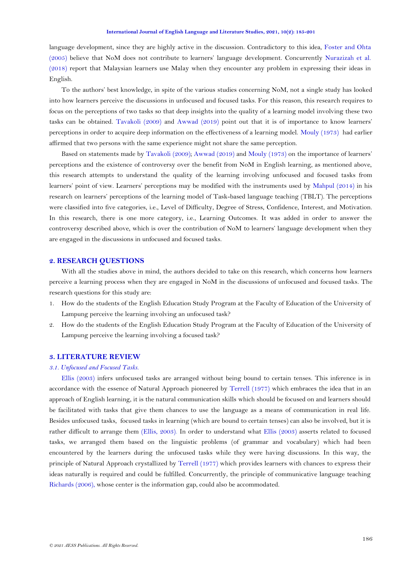language development, since they are highly active in the discussion. Contradictory to this idea, [Foster and Ohta](#page-14-2)  [\(2005\)](#page-14-2) believe that NoM does not contribute to learners' language development. Concurrently [Nurazizah et al.](#page-15-0)  [\(2018\)](#page-15-0) report that Malaysian learners use Malay when they encounter any problem in expressing their ideas in English.

To the authors' best knowledge, in spite of the various studies concerning NoM, not a single study has looked into how learners perceive the discussions in unfocused and focused tasks. For this reason, this research requires to focus on the perceptions of two tasks so that deep insights into the quality of a learning model involving these two tasks can be obtained. [Tavakoli \(2009\)](#page-15-2) and [Awwad](#page-14-7) (2019) point out that it is of importance to know learners' perceptions in order to acquire deep information on the effectiveness of a learning model. [Mouly \(1973\)](#page-15-3) had earlier affirmed that two persons with the same experience might not share the same perception.

Based on statements made by [Tavakoli \(2009\)](#page-15-2); [Awwad \(2019\)](#page-14-7) and [Mouly \(1973\)](#page-15-3) on the importance of learners' perceptions and the existence of controversy over the benefit from NoM in English learning, as mentioned above, this research attempts to understand the quality of the learning involving unfocused and focused tasks from learners' point of view. Learners' perceptions may be modified with the instruments used by [Mahpul \(2014\)](#page-15-4) in his research on learners' perceptions of the learning model of Task-based language teaching (TBLT). The perceptions were classified into five categories, i.e., Level of Difficulty, Degree of Stress, Confidence, Interest, and Motivation. In this research, there is one more category, i.e., Learning Outcomes. It was added in order to answer the controversy described above, which is over the contribution of NoM to learners' language development when they are engaged in the discussions in unfocused and focused tasks.

## **2. RESEARCH QUESTIONS**

With all the studies above in mind, the authors decided to take on this research, which concerns how learners perceive a learning process when they are engaged in NoM in the discussions of unfocused and focused tasks. The research questions for this study are:

- 1. How do the students of the English Education Study Program at the Faculty of Education of the University of Lampung perceive the learning involving an unfocused task?
- 2. How do the students of the English Education Study Program at the Faculty of Education of the University of Lampung perceive the learning involving a focused task?

## **3. LITERATURE REVIEW**

## *3.1. Unfocused and Focused Tasks.*

[Ellis \(2003\)](#page-14-6) infers unfocused tasks are arranged without being bound to certain tenses. This inference is in accordance with the essence of Natural Approach pioneered by [Terrell \(1977\)](#page-15-1) which embraces the idea that in an approach of English learning, it is the natural communication skills which should be focused on and learners should be facilitated with tasks that give them chances to use the language as a means of communication in real life. Besides unfocused tasks, focused tasks in learning (which are bound to certain tenses) can also be involved, but it is rather difficult to arrange them [\(Ellis,](#page-14-6) 2003). In order to understand what [Ellis \(2003\)](#page-14-6) asserts related to focused tasks, we arranged them based on the linguistic problems (of grammar and vocabulary) which had been encountered by the learners during the unfocused tasks while they were having discussions. In this way, the principle of Natural Approach crystallized by [Terrell \(1977\)](#page-15-1) which provides learners with chances to express their ideas naturally is required and could be fulfilled. Concurrently, the principle of communicative language teaching [Richards](#page-15-5) (2006), whose center is the information gap, could also be accommodated.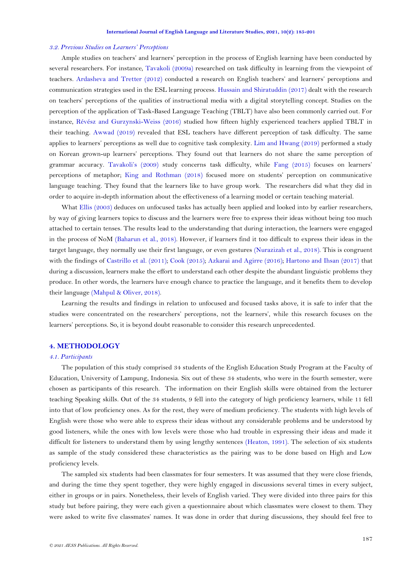#### *3.2. Previous Studies on Learners' Perceptions*

Ample studies on teachers' and learners' perception in the process of English learning have been conducted by several researchers. For instance, [Tavakoli \(2009a\)](#page-15-2) researched on task difficulty in learning from the viewpoint of teachers. [Ardasheva and Tretter \(2012\)](#page-14-8) conducted a research on English teachers' and learners' perceptions and communication strategies used in the ESL learning process. [Hussain and Shiratuddin \(2017\)](#page-14-2) dealt with the research on teachers' perceptions of the qualities of instructional media with a digital storytelling concept. Studies on the perception of the application of Task-Based Language Teaching (TBLT) have also been commonly carried out. For instance, [Révész and Gurzynski-Weiss \(2016\)](#page-15-6) studied how fifteen highly experienced teachers applied TBLT in their teaching. [Awwad \(2019\)](#page-14-7) revealed that ESL teachers have different perception of task difficulty. The same applies to learners' perceptions as well due to cognitive task complexity. [Lim and Hwang \(2019\)](#page-15-7) performed a study on Korean grown-up learners' perceptions. They found out that learners do not share the same perception of grammar accuracy. [Tavakoli](#page-15-2)'s (2009) study concerns task difficulty, while [Fang \(2015\)](#page-14-2) focuses on learners' perceptions of metaphor; [King and Rothman \(2018\)](#page-15-8) focused more on students' perception on communicative language teaching. They found that the learners like to have group work. The researchers did what they did in order to acquire in-depth information about the effectiveness of a learning model or certain teaching material.

What [Ellis \(2003\)](#page-14-6) deduces on unfocused tasks has actually been applied and looked into by earlier researchers, by way of giving learners topics to discuss and the learners were free to express their ideas without being too much attached to certain tenses. The results lead to the understanding that during interaction, the learners were engaged in the process of NoM [\(Baharun et al., 2018\)](#page-14-1). However, if learners find it too difficult to express their ideas in the target language, they normally use their first language, or even gestures [\(Nurazizah et al., 2018\)](#page-15-0). This is congruent with the findings of [Castrillo et al. \(2011\)](#page-14-5); [Cook \(2015\)](#page-14-9); [Azkarai and Agirre \(2016\)](#page-14-0); [Hartono and Ihsan \(2017\)](#page-14-2) that during a discussion, learners make the effort to understand each other despite the abundant linguistic problems they produce. In other words, the learners have enough chance to practice the language, and it benefits them to develop their language [\(Mahpul & Oliver, 2018\)](#page-15-9).

Learning the results and findings in relation to unfocused and focused tasks above, it is safe to infer that the studies were concentrated on the researchers' perceptions, not the learners', while this research focuses on the learners' perceptions. So, it is beyond doubt reasonable to consider this research unprecedented.

### **4. METHODOLOGY**

#### *4.1. Participants*

The population of this study comprised 34 students of the English Education Study Program at the Faculty of Education, University of Lampung, Indonesia. Six out of these 34 students, who were in the fourth semester, were chosen as participants of this research. The information on their English skills were obtained from the lecturer teaching Speaking skills. Out of the 34 students, 9 fell into the category of high proficiency learners, while 11 fell into that of low proficiency ones. As for the rest, they were of medium proficiency. The students with high levels of English were those who were able to express their ideas without any considerable problems and be understood by good listeners, while the ones with low levels were those who had trouble in expressing their ideas and made it difficult for listeners to understand them by using lengthy sentences [\(Heaton, 1991\)](#page-14-2). The selection of six students as sample of the study considered these characteristics as the pairing was to be done based on High and Low proficiency levels.

The sampled six students had been classmates for four semesters. It was assumed that they were close friends, and during the time they spent together, they were highly engaged in discussions several times in every subject, either in groups or in pairs. Nonetheless, their levels of English varied. They were divided into three pairs for this study but before pairing, they were each given a questionnaire about which classmates were closest to them. They were asked to write five classmates' names. It was done in order that during discussions, they should feel free to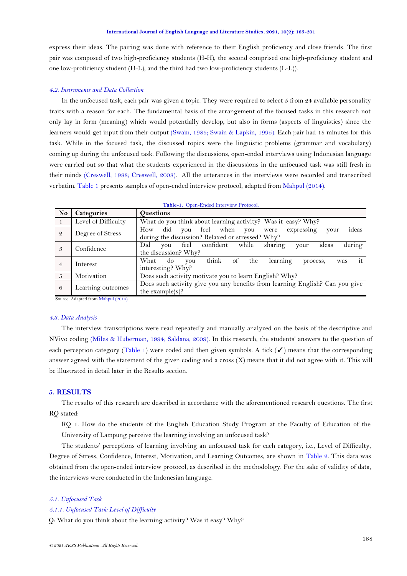<span id="page-3-1"></span>express their ideas. The pairing was done with reference to their English proficiency and close friends. The first pair was composed of two high-proficiency students (H-H), the second comprised one high-proficiency student and one low-proficiency student (H-L), and the third had two low-proficiency students (L-L)).

#### *4.2. Instruments and Data Collection*

In the unfocused task, each pair was given a topic. They were required to select 5 from 24 available personality traits with a reason for each. The fundamental basis of the arrangement of the focused tasks in this research not only lay in form (meaning) which would potentially develop, but also in forms (aspects of linguistics) since the learners would get input from their output [\(Swain, 1985;](#page-15-10) [Swain & Lapkin, 1995\)](#page-15-11). Each pair had 15 minutes for this task. While in the focused task, the discussed topics were the linguistic problems (grammar and vocabulary) coming up during the unfocused task. Following the discussions, open-ended interviews using Indonesian language were carried out so that what the students experienced in the discussions in the unfocused task was still fresh in their minds [\(Creswell, 1988;](#page-14-10) [Creswell, 2008\)](#page-14-11). All the utterances in the interviews were recorded and transcribed verbatim. [Table 1](#page-3-0) presents samples of open-ended interview protocol, adapted from [Mahpul \(2014\)](#page-15-4).

<span id="page-3-0"></span>

| N <sub>o</sub> | Categories          | <b>Questions</b>                                                                                                        |
|----------------|---------------------|-------------------------------------------------------------------------------------------------------------------------|
|                | Level of Difficulty | What do you think about learning activity? Was it easy? Why?                                                            |
| - 2            | Degree of Stress    | ideas<br>did you feel when you<br>How<br>expressing<br>were<br>your<br>during the discussion? Relaxed or stressed? Why? |
|                | Confidence          | during<br>feel confident while<br>ideas<br>Did<br>sharing<br>you<br>your<br>the discussion? Why?                        |
| $\overline{4}$ | Interest            | it<br>think of<br>What<br>the<br>$d\sigma$<br>learning<br>you<br>process,<br>was<br>interesting? Why?                   |
| $5^{\circ}$    | Motivation          | Does such activity motivate you to learn English? Why?                                                                  |
| -6             | Learning outcomes   | Does such activity give you any benefits from learning English? Can you give<br>the $example(s)$ ?                      |

**Table-1.** Open-Ended Interview Protocol.

Source: Adapted from [Mahpul \(2014\).](#page-15-4)

### *4.3. Data Analysis*

The interview transcriptions were read repeatedly and manually analyzed on the basis of the descriptive and NVivo coding [\(Miles & Huberman, 1994;](#page-15-12) [Saldana, 2009\)](#page-15-13). In this research, the students' answers to the question of each perception category [\(Table 1\)](#page-3-0) were coded and then given symbols. A tick  $\mathcal O$  means that the corresponding answer agreed with the statement of the given coding and a cross (X) means that it did not agree with it. This will be illustrated in detail later in the Results section.

## **5. RESULTS**

The results of this research are described in accordance with the aforementioned research questions. The first RQ stated:

RQ 1. How do the students of the English Education Study Program at the Faculty of Education of the University of Lampung perceive the learning involving an unfocused task?

The students' perceptions of learning involving an unfocused task for each category, i.e., Level of Difficulty, Degree of Stress, Confidence, Interest, Motivation, and Learning Outcomes, are shown in [Table 2.](#page-3-1) This data was obtained from the open-ended interview protocol, as described in the methodology. For the sake of validity of data, the interviews were conducted in the Indonesian language.

### *5.1. Unfocused Task*

#### *5.1.1. Unfocused Task: Level of Difficulty*

Q: What do you think about the learning activity? Was it easy? Why?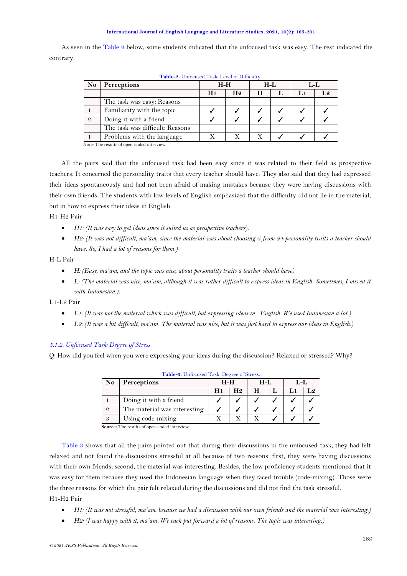As seen in the [Table 2](#page-3-1) below, some students indicated that the unfocused task was easy. The rest indicated the contrary.

| N <sub>o</sub> | <b>Perceptions</b>              |                | $H-H$          | $H-I$ |     | L-L   |
|----------------|---------------------------------|----------------|----------------|-------|-----|-------|
|                |                                 | H <sub>1</sub> | H <sub>2</sub> | Н     | 1.1 | I .9. |
|                | The task was easy: Reasons      |                |                |       |     |       |
|                | Familiarity with the topic      |                |                |       |     |       |
| - 2            | Doing it with a friend          |                |                |       |     |       |
|                | The task was difficult: Reasons |                |                |       |     |       |
|                | Problems with the language      |                |                |       |     |       |

**Table-2.** Unfocused Task: Level of Difficulty.

Note: The results of open-ended interview.

All the pairs said that the unfocused task had been easy since it was related to their field as prospective teachers. It concerned the personality traits that every teacher should have. They also said that they had expressed their ideas spontaneously and had not been afraid of making mistakes because they were having discussions with their own friends. The students with low levels of English emphasized that the difficulty did not lie in the material, but in how to express their ideas in English.

H1-H2 Pair

- *H1: (It was easy to get ideas since it suited us as prospective teachers).*
- *H2: (It was not difficult, ma'am, since the material was about choosing 5 from 24 personality traits a teacher should have. So, I had a lot of reasons for them.)*

H-L Pair

- *H: (Easy, ma'am, and the topic was nice, about personality traits a teacher should have)*
- *L: (The material was nice, ma'am, although it was rather difficult to express ideas in English. Sometimes, I mixed it with Indonesian.).*

L1-L2 Pair

- *L1: (It was not the material which was difficult, but expressing ideas in English. We used Indonesian a lot.)*
- L2: (It was a bit difficult, ma'am. The material was nice, but it was just hard to express our ideas in English.)

### *5.1.2. Unfocused Task: Degree of Stress*

<span id="page-4-0"></span>Q: How did you feel when you were expressing your ideas during the discussion? Relaxed or stressed? Why?

|                | <b>Table-3.</b> Unfocused Task: Degree of Stress.  |       |                |       |    |  |  |
|----------------|----------------------------------------------------|-------|----------------|-------|----|--|--|
| N <sub>0</sub> | Perceptions                                        | $H-H$ |                | $H-L$ | LL |  |  |
|                |                                                    | H1    | H <sub>2</sub> | Н     | L1 |  |  |
|                | Doing it with a friend                             |       |                |       |    |  |  |
| $\mathcal{Q}$  | The material was interesting                       |       |                |       |    |  |  |
| 3              | Using code-mixing                                  |       |                |       |    |  |  |
|                | <b>Source:</b> The results of ener ended interview |       |                |       |    |  |  |

**Table-3.** Unfocused Task: Degree of Stress.

**Source:** The results of open-ended interview.

[Table 3](#page-4-0) shows that all the pairs pointed out that during their discussions in the unfocused task, they had felt relaxed and not found the discussions stressful at all because of two reasons: first, they were having discussions with their own friends; second, the material was interesting. Besides, the low proficiency students mentioned that it was easy for them because they used the Indonesian language when they faced trouble (code-mixing). Those were the three reasons for which the pair felt relaxed during the discussions and did not find the task stressful. H1-H2 Pair

- *H1: (It was not stressful, ma'am, because we had a discussion with our own friends and the material was interesting.)*
- *H2: (I was happy with it, ma'am. We each put forward a lot of reasons. The topic was interesting.)*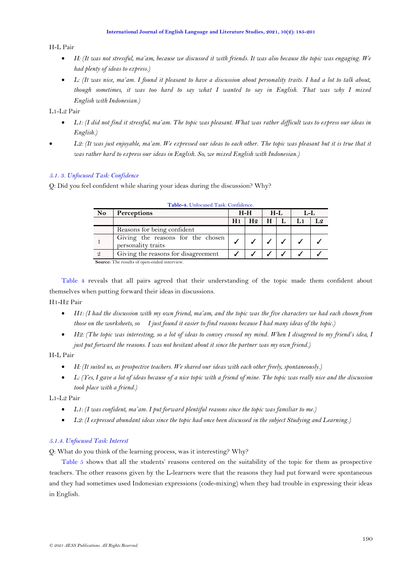<span id="page-5-1"></span>H-L Pair

- *H: (It was not stressful, ma'am, because we discussed it with friends. It was also because the topic was engaging. We had plenty of ideas to express.)*
- *L: (It was nice, ma'am. I found it pleasant to have a discussion about personality traits. I had a lot to talk about, though sometimes, it was too hard to say what I wanted to say in English. That was why I mixed English with Indonesian.)*

L1-L2 Pair

- *L1: (I did not find it stressful, ma'am. The topic was pleasant. What was rather difficult was to express our ideas in English.)*
- *L2: (It was just enjoyable, ma'am. We expressed our ideas to each other. The topic was pleasant but it is true that it was rather hard to express our ideas in English. So, we mixed English with Indonesian.)*

## *5.1. 3. Unfocused Task: Confidence*

<span id="page-5-0"></span>Q: Did you feel confident while sharing your ideas during the discussion? Why?

| N <sub>0</sub> | <b>Perceptions</b><br>$H-H$                             |  | $H-I$          |   | L-L |    |  |
|----------------|---------------------------------------------------------|--|----------------|---|-----|----|--|
|                |                                                         |  | H <sub>9</sub> | Н |     | L1 |  |
|                | Reasons for being confident                             |  |                |   |     |    |  |
|                | Giving the reasons for the chosen<br>personality traits |  |                |   |     |    |  |
|                | Giving the reasons for disagreement                     |  |                |   |     |    |  |

**Table-4.** Unfocused Task: Confidence.

**Source:** The results of open-ended interview.

[Table 4](#page-5-0) reveals that all pairs agreed that their understanding of the topic made them confident about themselves when putting forward their ideas in discussions.

H1-H2 Pair

- *H1: (I had the discussion with my own friend, ma'am, and the topic was the five characters we had each chosen from those on the worksheets, so I just found it easier to find reasons because I had many ideas of the topic.*)
- *H2: (The topic was interesting, so a lot of ideas to convey crossed my mind. When I disagreed to my friend's idea, I just put forward the reasons. I was not hesitant about it since the partner was my own friend.)*

## H-L Pair

- *H: (It suited us, as prospective teachers. We shared our ideas with each other freely, spontaneously.)*
- *L: (Yes, I gave a lot of ideas because of a nice topic with a friend of mine. The topic was really nice and the discussion took place with a friend.)*

L1-L2 Pair

- *L1: (I was confident, ma'am. I put forward plentiful reasons since the topic was familiar to me.)*
- *L2: (I expressed abundant ideas since the topic had once been discussed in the subject Studying and Learning*.*)*

### *5.1.4. Unfocused Task: Interest*

Q: What do you think of the learning process, was it interesting? Why?

[Table 5](#page-5-1) shows that all the students' reasons centered on the suitability of the topic for them as prospective teachers. The other reasons given by the L-learners were that the reasons they had put forward were spontaneous and they had sometimes used Indonesian expressions (code-mixing) when they had trouble in expressing their ideas in English.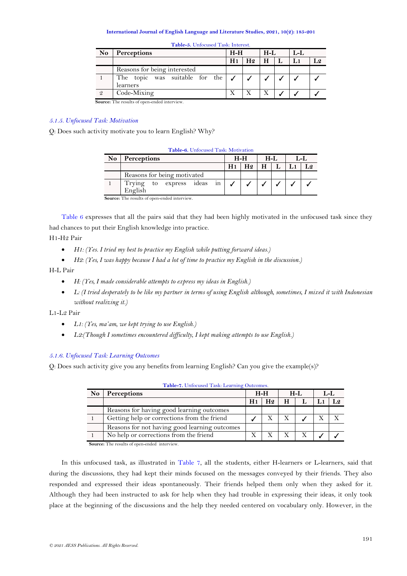| <b>No</b> | Perceptions                                |    | $H-H$          |   | $H-I$ | $L-L$ |                |
|-----------|--------------------------------------------|----|----------------|---|-------|-------|----------------|
|           |                                            | H1 | H <sub>2</sub> | Н |       |       | L <sub>2</sub> |
|           | Reasons for being interested               |    |                |   |       |       |                |
|           | The topic was suitable for the<br>learners |    |                |   |       |       |                |
|           | Code-Mixing                                |    |                |   |       |       |                |

**Table-5.** Unfocused Task: Interest.

**Source:** The results of open-ended interview.

## *5.1.5. Unfocused Task: Motivation*

<span id="page-6-0"></span>Q: Does such activity motivate you to learn English? Why?

|                | Table-6. Unfocused Task: Motivation          |    |                |    |     |  |  |  |  |  |  |  |
|----------------|----------------------------------------------|----|----------------|----|-----|--|--|--|--|--|--|--|
| N <sub>o</sub> | Perceptions<br>$H-H$                         |    | $H-I$          |    | L-L |  |  |  |  |  |  |  |
|                |                                              | H1 | H <sub>2</sub> | H. |     |  |  |  |  |  |  |  |
|                | Reasons for being motivated                  |    |                |    |     |  |  |  |  |  |  |  |
|                | Trying to express ideas in<br>English        |    |                |    |     |  |  |  |  |  |  |  |
|                | Source: The results of open-ended interview. |    |                |    |     |  |  |  |  |  |  |  |

[Table 6](#page-6-0) expresses that all the pairs said that they had been highly motivated in the unfocused task since they had chances to put their English knowledge into practice.

## H1-H2 Pair

- *H1: (Yes. I tried my best to practice my English while putting forward ideas.)*
- *H2: (Yes, I was happy because I had a lot of time to practice my English in the discussion.*)

### H-L Pair

- *H: (Yes, I made considerable attempts to express my ideas in English.)*
- *L: (I tried desperately to be like my partner in terms of using English although, sometimes, I mixed it with Indonesian without realizing it.)*

L1-L2 Pair

- *L1: (Yes, ma'am, we kept trying to use English.)*
- *L2:(Though I sometimes encountered difficulty, I kept making attempts to use English.*)

## *5.1.6. Unfocused Task: Learning Outcomes*

<span id="page-6-1"></span>Q: Does such activity give you any benefits from learning English? Can you give the example(s)?

| N <sub>o</sub> | <b>Perceptions</b>                            |                | $H-H$ |   | $H-I.$ | $L-L$ |  |
|----------------|-----------------------------------------------|----------------|-------|---|--------|-------|--|
|                |                                               | H <sub>1</sub> | H9    | Н |        |       |  |
|                | Reasons for having good learning outcomes     |                |       |   |        |       |  |
|                | Getting help or corrections from the friend   |                |       |   |        |       |  |
|                | Reasons for not having good learning outcomes |                |       |   |        |       |  |
|                | No help or corrections from the friend        |                |       |   |        |       |  |
| $\sim$         | $-1$                                          |                |       |   |        |       |  |

**Table-7.** Unfocused Task: Learning Outcomes.

**Source:** The results of open-ended interview.

In this unfocused task, as illustrated in [Table 7,](#page-6-1) all the students, either H-learners or L-learners, said that during the discussions, they had kept their minds focused on the messages conveyed by their friends. They also responded and expressed their ideas spontaneously. Their friends helped them only when they asked for it. Although they had been instructed to ask for help when they had trouble in expressing their ideas, it only took place at the beginning of the discussions and the help they needed centered on vocabulary only. However, in the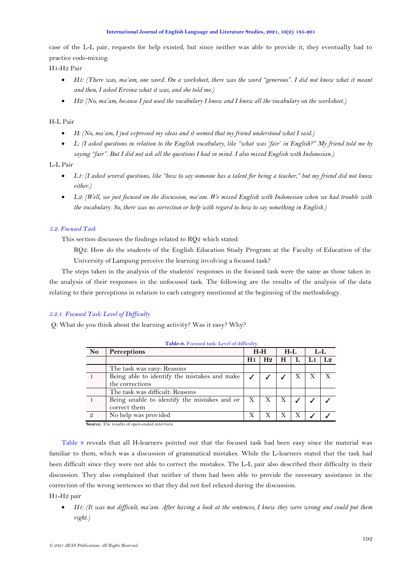case of the L-L pair, requests for help existed, but since neither was able to provide it, they eventually had to practice code-mixing.

H1-H2 Pair

- *H1: (There was, ma'am, one word. On a worksheet, there was the word "generous". I did not know what it meant and then, I asked Ervina what it was, and she told me.)*
- *H2: (No, ma'am, because I just used the vocabulary I know and I know all the vocabulary on the worksheet.)*

## H-L Pair

- *H: (No, ma'am, I just expressed my ideas and it seemed that my friend understood what I said.)*
- *L: (I asked questions in relation to the English vocabulary, like "what was 'fair' in English?" My friend told me by saying "fair". But I did not ask all the questions I had in mind. I also mixed English with Indonesian.)*

## L-L Pair

- *L1: (I asked several questions, like "how to say someone has a talent for being a teacher," but my friend did not know either.)*
- *L2: (Well, we just focused on the discussion, ma'am. We mixed English with Indonesian when we had trouble with the vocabulary. So, there was no correction or help with regard to how to say something in English.)*

# *5.2. Focused Task*

This section discusses the findings related to RQ2 which stated:

RQ2: How do the students of the English Education Study Program at the Faculty of Education of the University of Lampung perceive the learning involving a focused task?

The steps taken in the analysis of the students' responses in the focused task were the same as those taken in the analysis of their responses in the unfocused task. The following are the results of the analysis of the data relating to their perceptions in relation to each category mentioned at the beginning of the methodology.

## *5.2.1. Focused Task: Level of Difficulty*

<span id="page-7-0"></span>Q: What do you think about the learning activity? Was it easy? Why?

| N <sub>0</sub>                                                       | Perceptions                                                     |    | $H-H$          | $H-L$ |   | $L-L$ |                |
|----------------------------------------------------------------------|-----------------------------------------------------------------|----|----------------|-------|---|-------|----------------|
|                                                                      |                                                                 | H1 | H <sub>2</sub> | н     | L | L1    | L <sub>2</sub> |
|                                                                      | The task was easy: Reasons                                      |    |                |       |   |       |                |
|                                                                      | Being able to identify the mistakes and make<br>the corrections |    |                |       | Х | X     |                |
|                                                                      | The task was difficult: Reasons                                 |    |                |       |   |       |                |
|                                                                      | Being unable to identify the mistakes and or<br>correct them    | X  | X              | Χ     |   |       |                |
| $\overline{Q}$<br><b>Source:</b> The results of onen ended interview | No help was provided                                            | X  |                | X     |   |       |                |

**Table-8.** Focused task: Level of difficulty.

**Source:** The results of open-ended interview.

[Table 8](#page-7-0) reveals that all H-learners pointed out that the focused task had been easy since the material was familiar to them, which was a discussion of grammatical mistakes. While the L-learners stated that the task had been difficult since they were not able to correct the mistakes. The L-L pair also described their difficulty in their discussion. They also complained that neither of them had been able to provide the necessary assistance in the correction of the wrong sentences so that they did not feel relaxed during the discussion.

H1-H2 pair

• *H1: (It was not difficult, ma'am. After having a look at the sentences, I knew they were wrong and could put them right.)*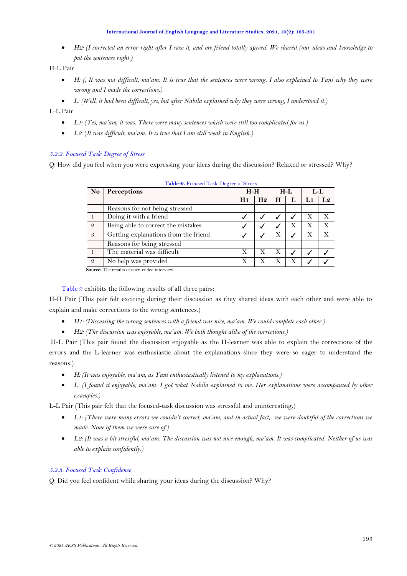• *H2: (I corrected an error right after I saw it, and my friend totally agreed. We shared (our ideas and knowledge to put the sentences right.)*

H-L Pair

- *H: (, It was not difficult, ma'am. It is true that the sentences were wrong. I also explained to Yuni why they were wrong and I made the corrections.)*
- *L: (Well, it had been difficult, yes, but after Nabila explained why they were wrong, I understood it.)*

L-L Pair

- *L1: (Yes, ma'am, it was. There were many sentences which were still too complicated for us.)*
- *L2:* (*It was difficult, ma'am. It is true that I am still weak in English.)*

# *5.2.2. Focused Task: Degree of Stress*

<span id="page-8-0"></span>Q: How did you feel when you were expressing your ideas during the discussion? Relaxed or stressed? Why?

| N <sub>0</sub> | Perceptions                          | $H-H$          |                |   | $H-L$ |    | $L-L$ |
|----------------|--------------------------------------|----------------|----------------|---|-------|----|-------|
|                |                                      | H <sub>1</sub> | H <sub>2</sub> | Н |       | L1 | L2    |
|                | Reasons for not being stressed       |                |                |   |       |    |       |
|                | Doing it with a friend               |                |                |   |       | X  | X     |
| -2             | Being able to correct the mistakes   |                |                |   | Х     | Х  | X     |
| $\mathcal{S}$  | Getting explanations from the friend |                |                | Х |       | Х  |       |
|                | Reasons for being stressed           |                |                |   |       |    |       |
|                | The material was difficult           | X              | X              | Х |       |    |       |
| $\mathcal{Q}$  | No help was provided                 | X              | X              | Х | Х     |    |       |

| Table-9. Focused Task: Degree of Stress |  |  |
|-----------------------------------------|--|--|
|                                         |  |  |

**Source:** The results of open-ended interview.

[Table 9](#page-8-0) exhibits the following results of all three pairs:

H-H Pair (This pair felt exciting during their discussion as they shared ideas with each other and were able to explain and make corrections to the wrong sentences.)

- *H1: (Discussing the wrong sentences with a friend was nice, ma'am. We could complete each other.)*
- *H2: (The discussion was enjoyable, ma'am. We both thought alike of the corrections.)*

H-L Pair (This pair found the discussion enjoyable as the H-learner was able to explain the corrections of the errors and the L-learner was enthusiastic about the explanations since they were so eager to understand the reasons.)

- *H: (It was enjoyable, ma'am, as Yuni enthusiastically listened to my explanations.)*
- *L: (I found it enjoyable, ma'am. I got what Nabila explained to me. Her explanations were accompanied by other examples.)*

L-L Pair (This pair felt that the focused-task discussion was stressful and uninteresting.)

- *L1: (There were many errors we couldn't correct, ma'am, and in actual fact, we were doubtful of the corrections we made. None of them we were sure of.)*
- *L2: (It was a bit stressful, ma'am. The discussion was not nice enough, ma'am. It was complicated. Neither of us was able to explain confidently.)*

# *5.2.3. Focused Task: Confidence*

<span id="page-8-1"></span>Q: Did you feel confident while sharing your ideas during the discussion? Why?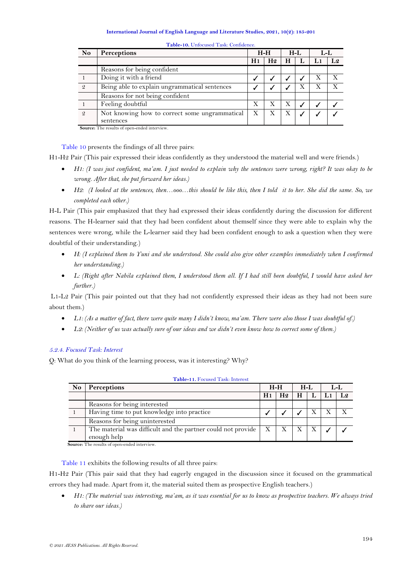| No | Perceptions                                        |    | $H-H$          |   | $H-L$ | $L-L$ |  |
|----|----------------------------------------------------|----|----------------|---|-------|-------|--|
|    |                                                    | H1 | H <sub>2</sub> | Н | Ŀ     | L1    |  |
|    | Reasons for being confident                        |    |                |   |       |       |  |
|    | Doing it with a friend                             |    |                |   |       | Х     |  |
| 2  | Being able to explain ungrammatical sentences      |    |                |   |       | Х     |  |
|    | Reasons for not being confident                    |    |                |   |       |       |  |
|    | Feeling doubtful                                   | X  |                |   |       |       |  |
| 9  | Not knowing how to correct some ungrammatical      | X  |                |   |       |       |  |
|    | sentences                                          |    |                |   |       |       |  |
|    | <b>Source:</b> The results of ener ended interview |    |                |   |       |       |  |

**Table-10.** Unfocused Task: Confidence.

**Source:** The results of open-ended interview.

[Table 10](#page-8-1) presents the findings of all three pairs:

H1-H2 Pair (This pair expressed their ideas confidently as they understood the material well and were friends.)

- *H1: (I was just confident, ma'am. I just needed to explain why the sentences were wrong, right? It was okay to be wrong. After that, she put forward her ideas.)*
- *H2: (I looked at the sentences, then…ooo…this should be like this, then I told it to her. She did the same. So, we completed each other.)*

H-L Pair (This pair emphasized that they had expressed their ideas confidently during the discussion for different reasons. The H-learner said that they had been confident about themself since they were able to explain why the sentences were wrong, while the L-learner said they had been confident enough to ask a question when they were doubtful of their understanding.)

- H: (I explained them to Yuni and she understood. She could also give other examples immediately when I confirmed *her understanding.)*
- *L: (Right after Nabila explained them, I understood them all. If I had still been doubtful, I would have asked her further.)*

L1-L2 Pair (This pair pointed out that they had not confidently expressed their ideas as they had not been sure about them.)

- L1: (As a matter of fact, there were quite many I didn't know, ma'am. There were also those I was doubtful of.)
- *L2: (Neither of us was actually sure of our ideas and we didn't even know how to correct some of them.)*

## *5.2.4. Focused Task: Interest*

<span id="page-9-0"></span>Q: What do you think of the learning process, was it interesting? Why?

| <b>No</b>                                                                                              | <b>Perceptions</b>                                           |    | $H-H$          |   | $H-L$ | $L-L$          |
|--------------------------------------------------------------------------------------------------------|--------------------------------------------------------------|----|----------------|---|-------|----------------|
|                                                                                                        |                                                              | H1 | H <sub>2</sub> | Н | L     | L <sub>2</sub> |
|                                                                                                        | Reasons for being interested                                 |    |                |   |       |                |
|                                                                                                        | Having time to put knowledge into practice                   |    |                |   |       |                |
|                                                                                                        | Reasons for being uninterested                               |    |                |   |       |                |
|                                                                                                        | The material was difficult and the partner could not provide | X  |                |   |       |                |
| $\mathbf{r}$ and $\mathbf{r}$ are the set of $\mathbf{r}$ and $\mathbf{r}$ are the set of $\mathbf{r}$ | enough help                                                  |    |                |   |       |                |

**Table-11.** Focused Task: Interest

**Source:** The results of open-ended interview.

[Table 11](#page-9-0) exhibits the following results of all three pairs:

H1-H2 Pair (This pair said that they had eagerly engaged in the discussion since it focused on the grammatical errors they had made. Apart from it, the material suited them as prospective English teachers.)

• *H1: (The material was interesting, ma'am, as it was essential for us to know as prospective teachers. We always tried to share our ideas.)*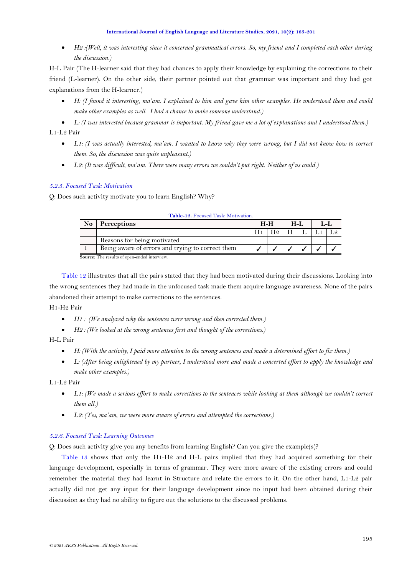<span id="page-10-1"></span>• *H2 :(Well, it was interesting since it concerned grammatical errors. So, my friend and I completed each other during the discussion.)*

H-L Pair (The H-learner said that they had chances to apply their knowledge by explaining the corrections to their friend (L-learner). On the other side, their partner pointed out that grammar was important and they had got explanations from the H-learner.)

• *H: (I found it interesting, ma'am. I explained to him and gave him other examples. He understood them and could make other examples as well. I had a chance to make someone understand.)*

• *L: (I was interested because grammar is important. My friend gave me a lot of explanations and I understood them.)* L1-L2 Pair

- L1*:* (I was actually interested, ma'am. I wanted to know why they were wrong, but I did not know how to correct *them. So, the discussion was quite unpleasant.)*
- *L2: (It was difficult, ma'am. There were many errors we couldn't put right. Neither of us could.)*

# *5.2.5. Focused Task: Motivation*

<span id="page-10-0"></span>Q: Does such activity motivate you to learn English? Why?

| <b>Table-12.</b> Pocused Task: Motivation.          |                                                  |                |                |        |  |     |  |  |  |  |  |
|-----------------------------------------------------|--------------------------------------------------|----------------|----------------|--------|--|-----|--|--|--|--|--|
| <b>No</b>                                           | Perceptions                                      | $H-H$          |                | $H-I.$ |  | T.L |  |  |  |  |  |
|                                                     |                                                  | H <sub>1</sub> | H <sub>9</sub> | H      |  |     |  |  |  |  |  |
|                                                     | Reasons for being motivated                      |                |                |        |  |     |  |  |  |  |  |
|                                                     | Being aware of errors and trying to correct them |                |                |        |  |     |  |  |  |  |  |
| <b>Source:</b> The results of open-ended interview. |                                                  |                |                |        |  |     |  |  |  |  |  |

**Table-12.** Focused Task: Motivation.

[Table 12](#page-10-0) illustrates that all the pairs stated that they had been motivated during their discussions. Looking into the wrong sentences they had made in the unfocused task made them acquire language awareness. None of the pairs abandoned their attempt to make corrections to the sentences.

H1-H2 Pair

- *H1 : (We analyzed why the sentences were wrong and then corrected them.)*
- *H2 : (We looked at the wrong sentences first and thought of the corrections.)*

H-L Pair

- *H: (With the activity, I paid more attention to the wrong sentences and made a determined effort to fix them.)*
- *L: (After being enlightened by my partner, I understood more and made a concerted effort to apply the knowledge and make other examples.)*

L1-L2 Pair

- *L1: (We made a serious effort to make corrections to the sentences while looking at them although we couldn't correct them all.)*
- *L2: (Yes, ma'am, we were more aware of errors and attempted the corrections.)*

## *5.2.6. Focused Task: Learning Outcomes*

Q: Does such activity give you any benefits from learning English? Can you give the example(s)?

[Table 13](#page-10-1) shows that only the H1-H2 and H-L pairs implied that they had acquired something for their language development, especially in terms of grammar. They were more aware of the existing errors and could remember the material they had learnt in Structure and relate the errors to it. On the other hand, L1-L2 pair actually did not get any input for their language development since no input had been obtained during their discussion as they had no ability to figure out the solutions to the discussed problems.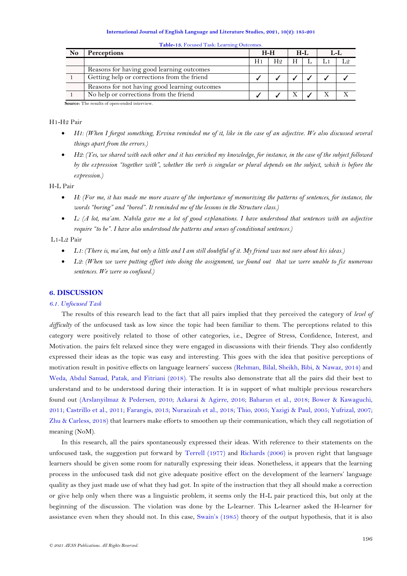| N <sub>0</sub>                                | <b>Perceptions</b>                            | $H-H$ |     | H-L |  |  |  |  |  |
|-----------------------------------------------|-----------------------------------------------|-------|-----|-----|--|--|--|--|--|
|                                               |                                               | H1    | H9. | H   |  |  |  |  |  |
|                                               | Reasons for having good learning outcomes     |       |     |     |  |  |  |  |  |
|                                               | Getting help or corrections from the friend   |       |     |     |  |  |  |  |  |
|                                               | Reasons for not having good learning outcomes |       |     |     |  |  |  |  |  |
|                                               | No help or corrections from the friend        |       |     |     |  |  |  |  |  |
| Common The member of cases and of internation |                                               |       |     |     |  |  |  |  |  |

**Table-13.** Focused Task: Learning Outcomes.

**Source:** The results of open-ended interview.

### H1-H2 Pair

- *H1: (When I forgot something, Ervina reminded me of it, like in the case of an adjective. We also discussed several things apart from the errors.)*
- *H2: (Yes, we shared with each other and it has enriched my knowledge, for instance, in the case of the subject followed by the expression "together with", whether the verb is singular or plural depends on the subject, which is before the expression.)*

### H-L Pair

- *H: (For me, it has made me more aware of the importance of memorizing the patterns of sentences, for instance, the words "boring" and "bored". It reminded me of the lessons in the Structure class.)*
- *L: (A lot, ma'am. Nabila gave me a lot of good explanations. I have understood that sentences with an adjective require "to be". I have also understood the patterns and senses of conditional sentences.)*

### L1-L2 Pair

- *L1: (There is, ma'am, but only a little and I am still doubtful of it. My friend was not sure about his ideas.)*
- *L2: (When we were putting effort into doing the assignment, we found out that we were unable to fix numerous sentences. We were so confused.)*

## **6. DISCUSSION**

### *6.1. Unfocused Task*

The results of this research lead to the fact that all pairs implied that they perceived the category of *level of difficulty* of the unfocused task as low since the topic had been familiar to them. The perceptions related to this category were positively related to those of other categories, i.e., Degree of Stress, Confidence, Interest, and Motivation. the pairs felt relaxed since they were engaged in discussions with their friends. They also confidently expressed their ideas as the topic was easy and interesting. This goes with the idea that positive perceptions of motivation result in positive effects on language learners' success [\(Rehman, Bilal, Sheikh, Bibi, & Nawaz, 2014\)](#page-15-14) and [Weda, Abdul Samad, Patak, and Fitriani \(2018\)](#page-15-1). The results also demonstrate that all the pairs did their best to understand and to be understood during their interaction. It is in support of what multiple previous researchers found out [\(Arslanyilmaz & Pedersen, 2010;](#page-14-3) [Azkarai & Agirre, 2016;](#page-14-0) [Baharun et al., 2018;](#page-14-1) [Bower & Kawaguchi,](#page-14-4)  [2011;](#page-14-4) [Castrillo et al., 2011;](#page-14-5) [Farangis, 2013;](#page-14-2) [Nurazizah et al., 2018;](#page-15-0) [Thio, 2005; Yazigi & Paul, 2005; Yufrizal, 2007;](#page-15-1) [Zhu & Carless, 2018\)](#page-16-0) that learners make efforts to smoothen up their communication, which they call negotiation of meaning (NoM).

In this research, all the pairs spontaneously expressed their ideas. With reference to their statements on the unfocused task, the suggestion put forward by [Terrell \(1977\)](#page-15-1) and [Richards \(2006\)](#page-15-5) is proven right that language learners should be given some room for naturally expressing their ideas. Nonetheless, it appears that the learning process in the unfocused task did not give adequate positive effect on the development of the learners' language quality as they just made use of what they had got. In spite of the instruction that they all should make a correction or give help only when there was a linguistic problem, it seems only the H-L pair practiced this, but only at the beginning of the discussion. The violation was done by the L-learner. This L-learner asked the H-learner for assistance even when they should not. In this case, [Swain](#page-15-10)'s (1985) theory of the output hypothesis, that it is also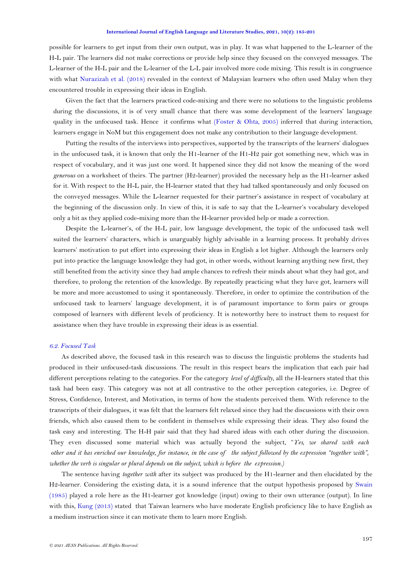possible for learners to get input from their own output, was in play. It was what happened to the L-learner of the H-L pair. The learners did not make corrections or provide help since they focused on the conveyed messages. The L-learner of the H-L pair and the L-learner of the L-L pair involved more code mixing. This result is in congruence with what [Nurazizah et al. \(2018\)](#page-15-0) revealed in the context of Malaysian learners who often used Malay when they encountered trouble in expressing their ideas in English.

Given the fact that the learners practiced code-mixing and there were no solutions to the linguistic problems during the discussions, it is of very small chance that there was some development of the learners' language quality in the unfocused task. Hence it confirms what [\(Foster & Ohta, 2005\)](#page-14-2) inferred that during interaction, learners engage in NoM but this engagement does not make any contribution to their language development.

Putting the results of the interviews into perspectives, supported by the transcripts of the learners' dialogues in the unfocused task, it is known that only the H1-learner of the H1-H2 pair got something new, which was in respect of vocabulary, and it was just one word. It happened since they did not know the meaning of the word *generous* on a worksheet of theirs. The partner (H2-learner) provided the necessary help as the H1-learner asked for it. With respect to the H-L pair, the H-learner stated that they had talked spontaneously and only focused on the conveyed messages. While the L-learner requested for their partner's assistance in respect of vocabulary at the beginning of the discussion only. In view of this, it is safe to say that the L-learner's vocabulary developed only a bit as they applied code-mixing more than the H-learner provided help or made a correction.

Despite the L-learner's, of the H-L pair, low language development, the topic of the unfocused task well suited the learners' characters, which is unarguably highly advisable in a learning process. It probably drives learners' motivation to put effort into expressing their ideas in English a lot higher. Although the learners only put into practice the language knowledge they had got, in other words, without learning anything new first, they still benefited from the activity since they had ample chances to refresh their minds about what they had got, and therefore, to prolong the retention of the knowledge. By repeatedly practicing what they have got, learners will be more and more accustomed to using it spontaneously. Therefore, in order to optimize the contribution of the unfocused task to learners' language development, it is of paramount importance to form pairs or groups composed of learners with different levels of proficiency. It is noteworthy here to instruct them to request for assistance when they have trouble in expressing their ideas is as essential.

### *6.2. Focused Task*

As described above, the focused task in this research was to discuss the linguistic problems the students had produced in their unfocused-task discussions. The result in this respect bears the implication that each pair had different perceptions relating to the categories. For the category *level of difficulty*, all the H-learners stated that this task had been easy. This category was not at all contrastive to the other perception categories, i.e. Degree of Stress, Confidence, Interest, and Motivation, in terms of how the students perceived them. With reference to the transcripts of their dialogues, it was felt that the learners felt relaxed since they had the discussions with their own friends, which also caused them to be confident in themselves while expressing their ideas. They also found the task easy and interesting. The H-H pair said that they had shared ideas with each other during the discussion. They even discussed some material which was actually beyond the subject, "*Yes, we shared with each other and it has enriched our knowledge, for instance, in the case of the subject followed by the expression "together with", whether the verb is singular or plural depends on the subject, which is before the expression.)*

The sentence having *together with* after its subject was produced by the H1-learner and then elucidated by the H2-learner. Considering the existing data, it is a sound inference that the output hypothesis proposed by [Swain](#page-15-10)  [\(1985\)](#page-15-10) played a role here as the H1-learner got knowledge (input) owing to their own utterance (output). In line with this, [Kung \(2013\)](#page-15-15) stated that Taiwan learners who have moderate English proficiency like to have English as a medium instruction since it can motivate them to learn more English.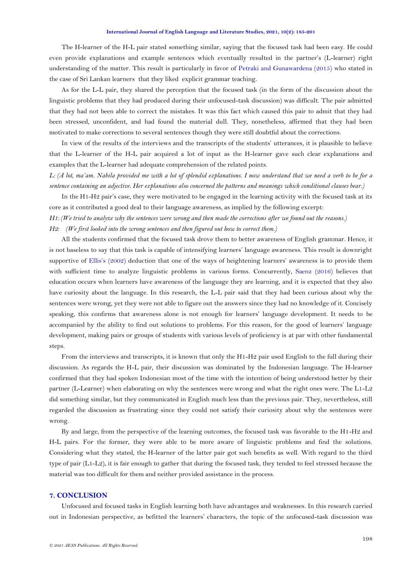The H-learner of the H-L pair stated something similar, saying that the focused task had been easy. He could even provide explanations and example sentences which eventually resulted in the partner's (L-learner) right understanding of the matter. This result is particularly in favor of [Petraki and Gunawardena \(2015\)](#page-15-16) who stated in the case of Sri Lankan learners that they liked explicit grammar teaching.

As for the L-L pair, they shared the perception that the focused task (in the form of the discussion about the linguistic problems that they had produced during their unfocused-task discussion) was difficult. The pair admitted that they had not been able to correct the mistakes. It was this fact which caused this pair to admit that they had been stressed, unconfident, and had found the material dull. They, nonetheless, affirmed that they had been motivated to make corrections to several sentences though they were still doubtful about the corrections.

In view of the results of the interviews and the transcripts of the students' utterances, it is plausible to believe that the L-learner of the H-L pair acquired a lot of input as the H-learner gave such clear explanations and examples that the L-learner had adequate comprehension of the related points.

*L: (A lot, ma'am. Nabila provided me with a lot of splendid explanations. I now understand that we need a verb to be for a sentence containing an adjective. Her explanations also concerned the patterns and meanings which conditional clauses bear.)*

In the H1-H2 pair's case, they were motivated to be engaged in the learning activity with the focused task at its core as it contributed a good deal to their language awareness, as implied by the following excerpt:

*H1: (We tried to analyze why the sentences were wrong and then made the corrections after we found out the reasons.) H2: (We first looked into the wrong sentences and then figured out how to correct them.)* 

All the students confirmed that the focused task drove them to better awareness of English grammar. Hence, it is not baseless to say that this task is capable of intensifying learners' language awareness. This result is downright supportive of Ellis's [\(2002\)](#page-14-12) deduction that one of the ways of heightening learners' awareness is to provide them with sufficient time to analyze linguistic problems in various forms. Concurrently, [Saenz \(2016\)](#page-15-17) believes that education occurs when learners have awareness of the language they are learning, and it is expected that they also have curiosity about the language. In this research, the L-L pair said that they had been curious about why the sentences were wrong, yet they were not able to figure out the answers since they had no knowledge of it. Concisely speaking, this confirms that awareness alone is not enough for learners' language development. It needs to be accompanied by the ability to find out solutions to problems. For this reason, for the good of learners' language development, making pairs or groups of students with various levels of proficiency is at par with other fundamental steps.

From the interviews and transcripts, it is known that only the H1-H2 pair used English to the full during their discussion. As regards the H-L pair, their discussion was dominated by the Indonesian language. The H-learner confirmed that they had spoken Indonesian most of the time with the intention of being understood better by their partner (L-Learner) when elaborating on why the sentences were wrong and what the right ones were. The L1-L2 did something similar, but they communicated in English much less than the previous pair. They, nevertheless, still regarded the discussion as frustrating since they could not satisfy their curiosity about why the sentences were wrong.

By and large, from the perspective of the learning outcomes, the focused task was favorable to the H1-H2 and H-L pairs. For the former, they were able to be more aware of linguistic problems and find the solutions. Considering what they stated, the H-learner of the latter pair got such benefits as well. With regard to the third type of pair (L1-L2), it is fair enough to gather that during the focused task, they tended to feel stressed because the material was too difficult for them and neither provided assistance in the process.

## **7. CONCLUSION**

Unfocused and focused tasks in English learning both have advantages and weaknesses. In this research carried out in Indonesian perspective, as befitted the learners' characters, the topic of the unfocused-task discussion was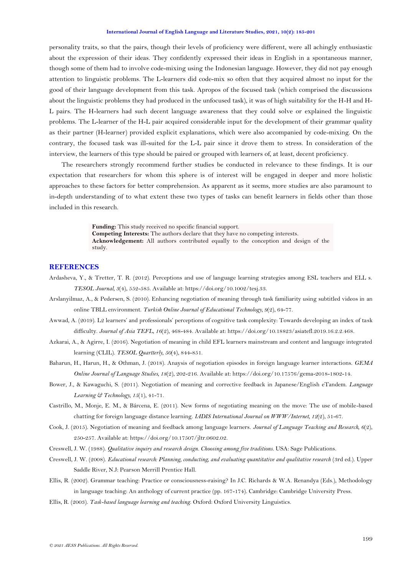<span id="page-14-2"></span>personality traits, so that the pairs, though their levels of proficiency were different, were all achingly enthusiastic about the expression of their ideas. They confidently expressed their ideas in English in a spontaneous manner, though some of them had to involve code-mixing using the Indonesian language. However, they did not pay enough attention to linguistic problems. The L-learners did code-mix so often that they acquired almost no input for the good of their language development from this task. Apropos of the focused task (which comprised the discussions about the linguistic problems they had produced in the unfocused task), it was of high suitability for the H-H and H-L pairs. The H-learners had such decent language awareness that they could solve or explained the linguistic problems. The L-learner of the H-L pair acquired considerable input for the development of their grammar quality as their partner (H-learner) provided explicit explanations, which were also accompanied by code-mixing. On the contrary, the focused task was ill-suited for the L-L pair since it drove them to stress. In consideration of the interview, the learners of this type should be paired or grouped with learners of, at least, decent proficiency.

The researchers strongly recommend further studies be conducted in relevance to these findings. It is our expectation that researchers for whom this sphere is of interest will be engaged in deeper and more holistic approaches to these factors for better comprehension. As apparent as it seems, more studies are also paramount to in-depth understanding of to what extent these two types of tasks can benefit learners in fields other than those included in this research.

> **Funding:** This study received no specific financial support. **Competing Interests:** The authors declare that they have no competing interests. **Acknowledgement:** All authors contributed equally to the conception and design of the study.

## **REFERENCES**

- <span id="page-14-8"></span>Ardasheva, Y., & Tretter, T. R. (2012). Perceptions and use of language learning strategies among ESL teachers and ELL s. *TESOL Journal, 3*(4), 552-585. Available at: https://doi.org/10.1002/tesj.33.
- <span id="page-14-3"></span>Arslanyilmaz, A., & Pedersen, S. (2010). Enhancing negotiation of meaning through task familiarity using subtitled videos in an online TBLL environment. *Turkish Online Journal of Educational Technology, 9*(2), 64-77.
- <span id="page-14-7"></span>Awwad, A. (2019). L2 learners' and professionals' perceptions of cognitive task complexity: Towards developing an index of task difficulty. *Journal of Asia TEFL, 16*(2), 468-484. Available at: https://doi.org/10.18823/asiatefl.2019.16.2.2.468.
- <span id="page-14-0"></span>Azkarai, A., & Agirre, I. (2016). Negotiation of meaning in child EFL learners mainstream and content and language integrated learning (CLIL). *TESOL Quartterly, 50*(4), 844-851.
- <span id="page-14-1"></span>Baharun, H., Harun, H., & Othman, J. (2018). Anaysis of negotiation episodes in foreign language learner interactions. *GEMA Online Journal of Language Studies, 18*(2), 202-216. Available at: https://doi.org/10.17576/gema-2018-1802-14.
- <span id="page-14-4"></span>Bower, J., & Kawaguchi, S. (2011). Negotiation of meaning and corrective feedback in Japanese/English eTandem. *Language Learning & Technology, 15*(1), 41-71.
- <span id="page-14-5"></span>Castrillo, M., Monje, E. M., & Bárcena, E. (2011). New forms of negotiating meaning on the move: The use of mobile-based chatting for foreign language distance learning. *IADIS International Journal on WWW/Internet, 12*(2), 51-67.
- <span id="page-14-9"></span>Cook, J. (2015). Negotiation of meaning and feedback among language learners. *Journal of Language Teaching and Research, 6*(2), 250-257. Available at: https://doi.org/10.17507/jltr.0602.02.
- <span id="page-14-10"></span>Creswell, J. W. (1988). *Qualitative inquiry and research design. Choosing among five traditions*. USA: Sage Publications.
- <span id="page-14-11"></span>Creswell, J. W. (2008). *Educational research: Planning, conducting, and evaluating quantitative and qualitative research* (3rd ed.). Upper Saddle River, N.J: Pearson Merrill Prentice Hall.
- <span id="page-14-12"></span>Ellis, R. (2002). Grammar teaching: Practice or consciousness-raising? In J.C. Richards & W.A. Renandya (Eds.), Methodology in language teaching: An anthology of current practice (pp. 167-174). Cambridge: Cambridge University Press.
- <span id="page-14-6"></span>Ellis, R. (2003). *Task-based language learning and teaching*. Oxford: Oxford University Linguistics.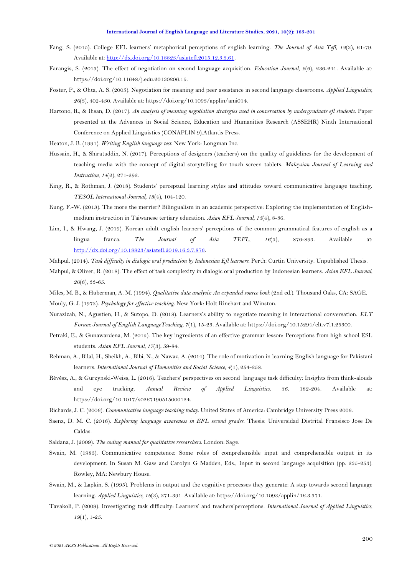- <span id="page-15-1"></span>Fang, S. (2015). College EFL learners' metaphorical perceptions of english learning. *The Journal of Asia Tefl, 12*(3), 61-79. Available at: [http://dx.doi.org/10.18823/asiatefl.2015.12.3.3.61.](http://dx.doi.org/10.18823/asiatefl.2015.12.3.3.61)
- Farangis, S. (2013). The effect of negotiation on second language acquisition. *Education Journal, 2*(6), 236-241. Available at: https://doi.org/10.11648/j.edu.20130206.15.
- Foster, P., & Ohta, A. S. (2005). Negotiation for meaning and peer assistance in second language classrooms. *Applied Linguistics, 26*(3), 402-430. Available at: https://doi.org/10.1093/applin/ami014.
- Hartono, R., & Ihsan, D. (2017). *An analysis of meaning negotiation strategies used in conversation by undergraduate efl students*. Paper presented at the Advances in Social Science, Education and Humanities Research (ASSEHR) Ninth International Conference on Applied Linguistics (CONAPLIN 9).Atlantis Press.
- Heaton, J. B. (1991). *Writing English language test*. New York: Longman Inc.
- Hussain, H., & Shiratuddin, N. (2017). Perceptions of designers (teachers) on the quality of guidelines for the development of teaching media with the concept of digital storytelling for touch screen tablets. *Malaysian Journal of Learning and Instruction, 14*(2), 271-292.
- <span id="page-15-8"></span>King, R., & Rothman, J. (2018). Students' perceptual learning styles and attitudes toward communicative language teaching. *TESOL International Journal, 13*(4), 104-120.
- <span id="page-15-15"></span>Kung, F.-W. (2013). The more the merrier? Bilingualism in an academic perspective: Exploring the implementation of Englishmedium instruction in Taiwanese tertiary education. *Asian EFL Journal, 15*(4), 8-36.
- <span id="page-15-7"></span>Lim, I., & Hwang, J. (2019). Korean adult english learners' perceptions of the common grammatical features of english as a lingua franca. *The Journal of Asia TEFL, 16*(3), 876-893. Available at: [http://dx.doi.org/10.18823/asiatefl.2019.16.3.7.876.](http://dx.doi.org/10.18823/asiatefl.2019.16.3.7.876)
- <span id="page-15-4"></span>Mahpul. (2014). *Task difficulty in dialogic oral production by Indonesian Efl learners.* Perth: Curtin University. Unpublished Thesis.
- <span id="page-15-9"></span>Mahpul, & Oliver, R. (2018). The effect of task complexity in dialogic oral production by Indonesian learners. *Asian EFL Journal, 20*(6), 33-65.
- <span id="page-15-12"></span>Miles, M. B., & Huberman, A. M. (1994). *Qualitative data analysis: An expanded source book* (2nd ed.). Thousand Oaks, CA: SAGE.
- <span id="page-15-3"></span>Mouly, G. J. (1973). *Psychology for effective teaching*. New York: Holt Rinehart and Winston.
- <span id="page-15-0"></span>Nurazizah, N., Agustien, H., & Sutopo, D. (2018). Learners's ability to negotiate meaning in interactional conversation. *ELT Forum: Journal of English LanguageTeaching, 7*(1), 15-23. Available at: https://doi.org/10.15294/elt.v7i1.25300.
- <span id="page-15-16"></span>Petraki, E., & Gunawardena, M. (2015). The key ingredients of an effective grammar lesson: Perceptions from high school ESL students. *Asian EFL Journal, 17*(3), 59-84.
- <span id="page-15-14"></span>Rehman, A., Bilal, H., Sheikh, A., Bibi, N., & Nawaz, A. (2014). The role of motivation in learning English language for Pakistani learners. *International Journal of Humanities and Social Science, 4*(1), 254-258.
- <span id="page-15-6"></span>Révész, A., & Gurzynski-Weiss, L. (2016). Teachers' perspectives on second language task difficulty: Insights from think-alouds and eye tracking. *Annual Review of Applied Linguistics, 36*, 182-204. Available at: https://doi.org/10.1017/s0267190515000124.
- <span id="page-15-5"></span>Richards, J. C. (2006). *Communicative language teaching today*. United States of America: Cambridge University Press 2006.
- <span id="page-15-17"></span>Saenz, D. M. C. (2016). *Exploring language awareness in EFL second grades.* Thesis: Universidad Distrital Fransisco Jose De Caldas.
- <span id="page-15-13"></span>Saldana, J. (2009). *The coding manual for qualitative researchers*. London: Sage.
- <span id="page-15-10"></span>Swain, M. (1985). Communicative competence: Some roles of comprehensible input and comprehensible output in its development. In Susan M. Gass and Carolyn G Madden, Eds., Input in second langauge acquisition (pp. 235-253). Rowley, MA: Newbury House.
- <span id="page-15-11"></span>Swain, M., & Lapkin, S. (1995). Problems in output and the cognitive processes they generate: A step towards second language learning. *Applied Linguistics, 16*(3), 371-391. Available at: https://doi.org/10.1093/applin/16.3.371.
- <span id="page-15-2"></span>Tavakoli, P. (2009). Investigating task difficulty: Learners' and teachers'perceptions. *International Journal of Applied Linguistics, 19*(1), 1-25.